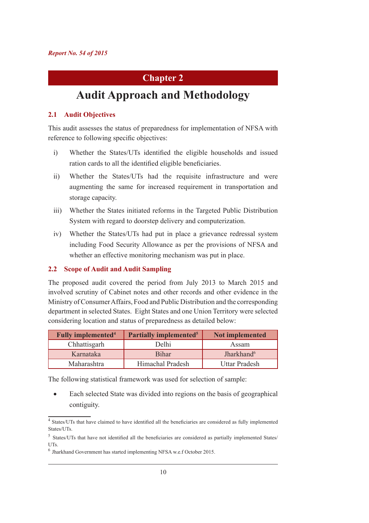# **Chapter 2**

# **Audit Approach and Methodology**

### **2.1 Audit Objectives**

This audit assesses the status of preparedness for implementation of NFSA with reference to following specific objectives:

- i) Whether the States/UTs identified the eligible households and issued ration cards to all the identified eligible beneficiaries.
- ii) Whether the States/UTs had the requisite infrastructure and were augmenting the same for increased requirement in transportation and storage capacity.
- iii) Whether the States initiated reforms in the Targeted Public Distribution System with regard to doorstep delivery and computerization.
- iv) Whether the States/UTs had put in place a grievance redressal system including Food Security Allowance as per the provisions of NFSA and whether an effective monitoring mechanism was put in place.

#### **2.2 Scope of Audit and Audit Sampling**

The proposed audit covered the period from July 2013 to March 2015 and involved scrutiny of Cabinet notes and other records and other evidence in the Ministry of Consumer Affairs, Food and Public Distribution and the corresponding department in selected States. Eight States and one Union Territory were selected considering location and status of preparedness as detailed below:

| <b>Fully implemented<sup>4</sup></b> | <b>Partially implemented<sup>5</sup></b> | Not implemented        |
|--------------------------------------|------------------------------------------|------------------------|
| Chhattisgarh                         | Delhi                                    | Assam                  |
| Karnataka                            | <b>Bihar</b>                             | Jharkhand <sup>6</sup> |
| Maharashtra                          | Himachal Pradesh                         | <b>Uttar Pradesh</b>   |

The following statistical framework was used for selection of sample:

Each selected State was divided into regions on the basis of geographical contiguity.

<sup>&</sup>lt;sup>4</sup> States/UTs that have claimed to have identified all the beneficiaries are considered as fully implemented States/UTs.

<sup>5</sup> States/UTs that have not identified all the beneficiaries are considered as partially implemented States/ UTs.

<sup>6</sup> Jharkhand Government has started implementing NFSA w.e.f October 2015.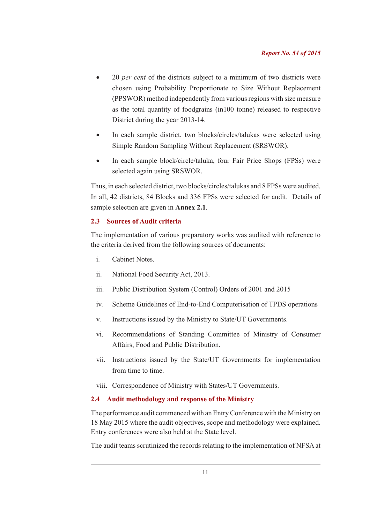- 20 *per cent* of the districts subject to a minimum of two districts were chosen using Probability Proportionate to Size Without Replacement (PPSWOR) method independently from various regions with size measure as the total quantity of foodgrains (in100 tonne) released to respective District during the year 2013-14.
- In each sample district, two blocks/circles/talukas were selected using Simple Random Sampling Without Replacement (SRSWOR).
- In each sample block/circle/taluka, four Fair Price Shops (FPSs) were selected again using SRSWOR.

Thus, in each selected district, two blocks/circles/talukas and 8 FPSs were audited. In all, 42 districts, 84 Blocks and 336 FPSs were selected for audit. Details of sample selection are given in **Annex 2.1**.

# **2.3 Sources of Audit criteria**

The implementation of various preparatory works was audited with reference to the criteria derived from the following sources of documents:

- i. Cabinet Notes.
- ii. National Food Security Act, 2013.
- iii. Public Distribution System (Control) Orders of 2001 and 2015
- iv. Scheme Guidelines of End-to-End Computerisation of TPDS operations
- v. Instructions issued by the Ministry to State/UT Governments.
- vi. Recommendations of Standing Committee of Ministry of Consumer Affairs, Food and Public Distribution.
- vii. Instructions issued by the State/UT Governments for implementation from time to time.
- viii. Correspondence of Ministry with States/UT Governments.

# **2.4 Audit methodology and response of the Ministry**

The performance audit commenced with an Entry Conference with the Ministry on 18 May 2015 where the audit objectives, scope and methodology were explained. Entry conferences were also held at the State level.

The audit teams scrutinized the records relating to the implementation of NFSA at